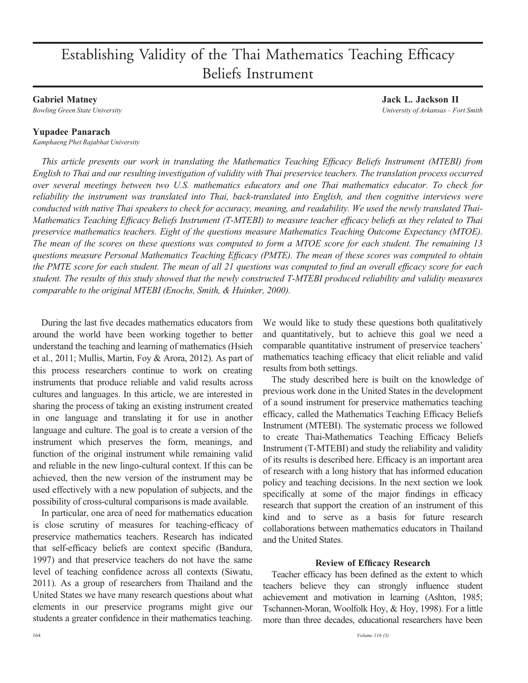# Establishing Validity of the Thai Mathematics Teaching Efficacy Beliefs Instrument

# Gabriel Matney

Bowling Green State University

# Yupadee Panarach

Kamphaeng Phet Rajabhat University

This article presents our work in translating the Mathematics Teaching Efficacy Beliefs Instrument (MTEBI) from English to Thai and our resulting investigation of validity with Thai preservice teachers. The translation process occurred over several meetings between two U.S. mathematics educators and one Thai mathematics educator. To check for reliability the instrument was translated into Thai, back-translated into English, and then cognitive interviews were conducted with native Thai speakers to check for accuracy, meaning, and readability. We used the newly translated Thai-Mathematics Teaching Efficacy Beliefs Instrument (T-MTEBI) to measure teacher efficacy beliefs as they related to Thai preservice mathematics teachers. Eight of the questions measure Mathematics Teaching Outcome Expectancy (MTOE). The mean of the scores on these questions was computed to form a MTOE score for each student. The remaining 13 questions measure Personal Mathematics Teaching Efficacy (PMTE). The mean of these scores was computed to obtain the PMTE score for each student. The mean of all 21 questions was computed to find an overall efficacy score for each student. The results of this study showed that the newly constructed T-MTEBI produced reliability and validity measures comparable to the original MTEBI (Enochs, Smith, & Huinker, 2000).

During the last five decades mathematics educators from around the world have been working together to better understand the teaching and learning of mathematics (Hsieh et al., 2011; Mullis, Martin, Foy & Arora, 2012). As part of this process researchers continue to work on creating instruments that produce reliable and valid results across cultures and languages. In this article, we are interested in sharing the process of taking an existing instrument created in one language and translating it for use in another language and culture. The goal is to create a version of the instrument which preserves the form, meanings, and function of the original instrument while remaining valid and reliable in the new lingo-cultural context. If this can be achieved, then the new version of the instrument may be used effectively with a new population of subjects, and the possibility of cross-cultural comparisons is made available.

In particular, one area of need for mathematics education is close scrutiny of measures for teaching-efficacy of preservice mathematics teachers. Research has indicated that self-efficacy beliefs are context specific (Bandura, 1997) and that preservice teachers do not have the same level of teaching confidence across all contexts (Siwatu, 2011). As a group of researchers from Thailand and the United States we have many research questions about what elements in our preservice programs might give our students a greater confidence in their mathematics teaching.

We would like to study these questions both qualitatively and quantitatively, but to achieve this goal we need a comparable quantitative instrument of preservice teachers' mathematics teaching efficacy that elicit reliable and valid results from both settings.

The study described here is built on the knowledge of previous work done in the United States in the development of a sound instrument for preservice mathematics teaching efficacy, called the Mathematics Teaching Efficacy Beliefs Instrument (MTEBI). The systematic process we followed to create Thai-Mathematics Teaching Efficacy Beliefs Instrument (T-MTEBI) and study the reliability and validity of its results is described here. Efficacy is an important area of research with a long history that has informed education policy and teaching decisions. In the next section we look specifically at some of the major findings in efficacy research that support the creation of an instrument of this kind and to serve as a basis for future research collaborations between mathematics educators in Thailand and the United States.

# Review of Efficacy Research

Teacher efficacy has been defined as the extent to which teachers believe they can strongly influence student achievement and motivation in learning (Ashton, 1985; Tschannen-Moran, Woolfolk Hoy, & Hoy, 1998). For a little more than three decades, educational researchers have been

Jack L. Jackson II University of Arkansas – Fort Smith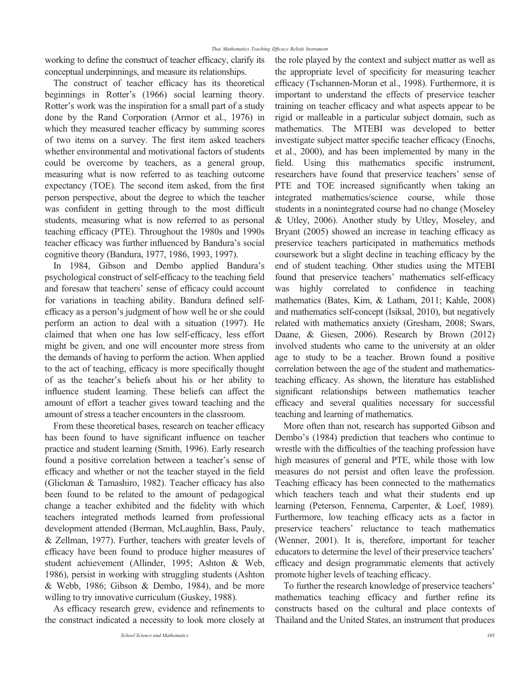working to define the construct of teacher efficacy, clarify its conceptual underpinnings, and measure its relationships.

The construct of teacher efficacy has its theoretical beginnings in Rotter's (1966) social learning theory. Rotter's work was the inspiration for a small part of a study done by the Rand Corporation (Armor et al., 1976) in which they measured teacher efficacy by summing scores of two items on a survey. The first item asked teachers whether environmental and motivational factors of students could be overcome by teachers, as a general group, measuring what is now referred to as teaching outcome expectancy (TOE). The second item asked, from the first person perspective, about the degree to which the teacher was confident in getting through to the most difficult students, measuring what is now referred to as personal teaching efficacy (PTE). Throughout the 1980s and 1990s teacher efficacy was further influenced by Bandura's social cognitive theory (Bandura, 1977, 1986, 1993, 1997).

In 1984, Gibson and Dembo applied Bandura's psychological construct of self-efficacy to the teaching field and foresaw that teachers' sense of efficacy could account for variations in teaching ability. Bandura defined selfefficacy as a person's judgment of how well he or she could perform an action to deal with a situation (1997). He claimed that when one has low self-efficacy, less effort might be given, and one will encounter more stress from the demands of having to perform the action. When applied to the act of teaching, efficacy is more specifically thought of as the teacher's beliefs about his or her ability to influence student learning. These beliefs can affect the amount of effort a teacher gives toward teaching and the amount of stress a teacher encounters in the classroom.

From these theoretical bases, research on teacher efficacy has been found to have significant influence on teacher practice and student learning (Smith, 1996). Early research found a positive correlation between a teacher's sense of efficacy and whether or not the teacher stayed in the field (Glickman & Tamashiro, 1982). Teacher efficacy has also been found to be related to the amount of pedagogical change a teacher exhibited and the fidelity with which teachers integrated methods learned from professional development attended (Berman, McLaughlin, Bass, Pauly, & Zellman, 1977). Further, teachers with greater levels of efficacy have been found to produce higher measures of student achievement (Allinder, 1995; Ashton & Web, 1986), persist in working with struggling students (Ashton & Webb, 1986; Gibson & Dembo, 1984), and be more willing to try innovative curriculum (Guskey, 1988).

As efficacy research grew, evidence and refinements to the construct indicated a necessity to look more closely at the role played by the context and subject matter as well as the appropriate level of specificity for measuring teacher efficacy (Tschannen-Moran et al., 1998). Furthermore, it is important to understand the effects of preservice teacher training on teacher efficacy and what aspects appear to be rigid or malleable in a particular subject domain, such as mathematics. The MTEBI was developed to better investigate subject matter specific teacher efficacy (Enochs, et al., 2000), and has been implemented by many in the field. Using this mathematics specific instrument, researchers have found that preservice teachers' sense of PTE and TOE increased significantly when taking an integrated mathematics/science course, while those students in a nonintegrated course had no change (Moseley & Utley, 2006). Another study by Utley, Moseley, and Bryant (2005) showed an increase in teaching efficacy as preservice teachers participated in mathematics methods coursework but a slight decline in teaching efficacy by the end of student teaching. Other studies using the MTEBI found that preservice teachers' mathematics self-efficacy was highly correlated to confidence in teaching mathematics (Bates, Kim, & Latham, 2011; Kahle, 2008) and mathematics self-concept (Isiksal, 2010), but negatively related with mathematics anxiety (Gresham, 2008; Swars, Daane, & Giesen, 2006). Research by Brown (2012) involved students who came to the university at an older age to study to be a teacher. Brown found a positive correlation between the age of the student and mathematicsteaching efficacy. As shown, the literature has established significant relationships between mathematics teacher efficacy and several qualities necessary for successful teaching and learning of mathematics.

More often than not, research has supported Gibson and Dembo's (1984) prediction that teachers who continue to wrestle with the difficulties of the teaching profession have high measures of general and PTE, while those with low measures do not persist and often leave the profession. Teaching efficacy has been connected to the mathematics which teachers teach and what their students end up learning (Peterson, Fennema, Carpenter, & Loef, 1989). Furthermore, low teaching efficacy acts as a factor in preservice teachers' reluctance to teach mathematics (Wenner, 2001). It is, therefore, important for teacher educators to determine the level of their preservice teachers' efficacy and design programmatic elements that actively promote higher levels of teaching efficacy.

To further the research knowledge of preservice teachers' mathematics teaching efficacy and further refine its constructs based on the cultural and place contexts of Thailand and the United States, an instrument that produces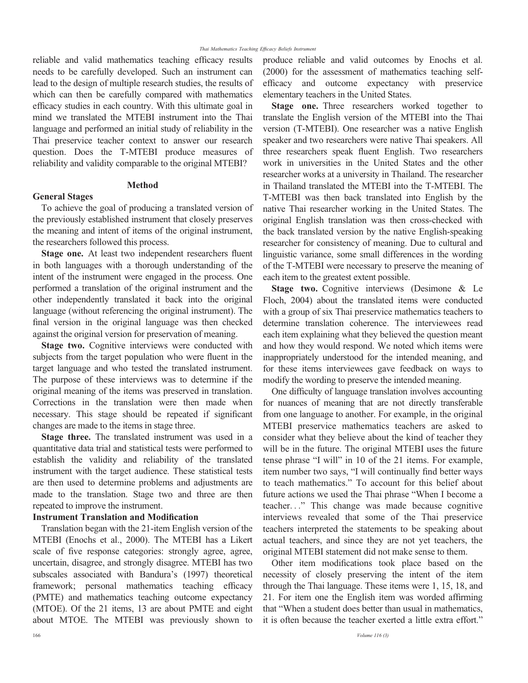reliable and valid mathematics teaching efficacy results needs to be carefully developed. Such an instrument can lead to the design of multiple research studies, the results of which can then be carefully compared with mathematics efficacy studies in each country. With this ultimate goal in mind we translated the MTEBI instrument into the Thai language and performed an initial study of reliability in the Thai preservice teacher context to answer our research question. Does the T-MTEBI produce measures of reliability and validity comparable to the original MTEBI?

# Method

## General Stages

To achieve the goal of producing a translated version of the previously established instrument that closely preserves the meaning and intent of items of the original instrument, the researchers followed this process.

Stage one. At least two independent researchers fluent in both languages with a thorough understanding of the intent of the instrument were engaged in the process. One performed a translation of the original instrument and the other independently translated it back into the original language (without referencing the original instrument). The final version in the original language was then checked against the original version for preservation of meaning.

Stage two. Cognitive interviews were conducted with subjects from the target population who were fluent in the target language and who tested the translated instrument. The purpose of these interviews was to determine if the original meaning of the items was preserved in translation. Corrections in the translation were then made when necessary. This stage should be repeated if significant changes are made to the items in stage three.

Stage three. The translated instrument was used in a quantitative data trial and statistical tests were performed to establish the validity and reliability of the translated instrument with the target audience. These statistical tests are then used to determine problems and adjustments are made to the translation. Stage two and three are then repeated to improve the instrument.

## Instrument Translation and Modification

Translation began with the 21-item English version of the MTEBI (Enochs et al., 2000). The MTEBI has a Likert scale of five response categories: strongly agree, agree, uncertain, disagree, and strongly disagree. MTEBI has two subscales associated with Bandura's (1997) theoretical framework; personal mathematics teaching efficacy (PMTE) and mathematics teaching outcome expectancy (MTOE). Of the 21 items, 13 are about PMTE and eight about MTOE. The MTEBI was previously shown to produce reliable and valid outcomes by Enochs et al. (2000) for the assessment of mathematics teaching selfefficacy and outcome expectancy with preservice elementary teachers in the United States.

Stage one. Three researchers worked together to translate the English version of the MTEBI into the Thai version (T-MTEBI). One researcher was a native English speaker and two researchers were native Thai speakers. All three researchers speak fluent English. Two researchers work in universities in the United States and the other researcher works at a university in Thailand. The researcher in Thailand translated the MTEBI into the T-MTEBI. The T-MTEBI was then back translated into English by the native Thai researcher working in the United States. The original English translation was then cross-checked with the back translated version by the native English-speaking researcher for consistency of meaning. Due to cultural and linguistic variance, some small differences in the wording of the T-MTEBI were necessary to preserve the meaning of each item to the greatest extent possible.

Stage two. Cognitive interviews (Desimone & Le Floch, 2004) about the translated items were conducted with a group of six Thai preservice mathematics teachers to determine translation coherence. The interviewees read each item explaining what they believed the question meant and how they would respond. We noted which items were inappropriately understood for the intended meaning, and for these items interviewees gave feedback on ways to modify the wording to preserve the intended meaning.

One difficulty of language translation involves accounting for nuances of meaning that are not directly transferable from one language to another. For example, in the original MTEBI preservice mathematics teachers are asked to consider what they believe about the kind of teacher they will be in the future. The original MTEBI uses the future tense phrase "I will" in 10 of the 21 items. For example, item number two says, "I will continually find better ways to teach mathematics." To account for this belief about future actions we used the Thai phrase "When I become a teacher..." This change was made because cognitive interviews revealed that some of the Thai preservice teachers interpreted the statements to be speaking about actual teachers, and since they are not yet teachers, the original MTEBI statement did not make sense to them.

Other item modifications took place based on the necessity of closely preserving the intent of the item through the Thai language. These items were 1, 15, 18, and 21. For item one the English item was worded affirming that "When a student does better than usual in mathematics, it is often because the teacher exerted a little extra effort."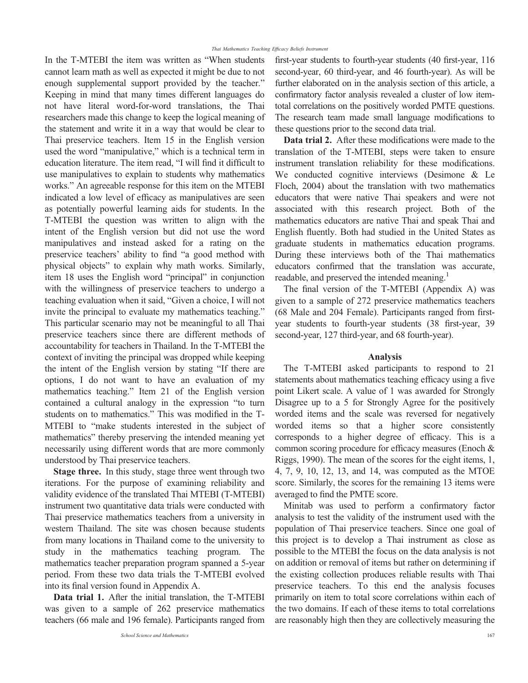In the T-MTEBI the item was written as "When students cannot learn math as well as expected it might be due to not enough supplemental support provided by the teacher." Keeping in mind that many times different languages do not have literal word-for-word translations, the Thai researchers made this change to keep the logical meaning of the statement and write it in a way that would be clear to Thai preservice teachers. Item 15 in the English version used the word "manipulative," which is a technical term in education literature. The item read, "I will find it difficult to use manipulatives to explain to students why mathematics works." An agreeable response for this item on the MTEBI indicated a low level of efficacy as manipulatives are seen as potentially powerful learning aids for students. In the T-MTEBI the question was written to align with the intent of the English version but did not use the word manipulatives and instead asked for a rating on the preservice teachers' ability to find "a good method with physical objects" to explain why math works. Similarly, item 18 uses the English word "principal" in conjunction with the willingness of preservice teachers to undergo a teaching evaluation when it said, "Given a choice, I will not invite the principal to evaluate my mathematics teaching." This particular scenario may not be meaningful to all Thai preservice teachers since there are different methods of accountability for teachers in Thailand. In the T-MTEBI the context of inviting the principal was dropped while keeping the intent of the English version by stating "If there are options, I do not want to have an evaluation of my mathematics teaching." Item 21 of the English version contained a cultural analogy in the expression "to turn students on to mathematics." This was modified in the T-MTEBI to "make students interested in the subject of mathematics" thereby preserving the intended meaning yet necessarily using different words that are more commonly understood by Thai preservice teachers.

Stage three. In this study, stage three went through two iterations. For the purpose of examining reliability and validity evidence of the translated Thai MTEBI (T-MTEBI) instrument two quantitative data trials were conducted with Thai preservice mathematics teachers from a university in western Thailand. The site was chosen because students from many locations in Thailand come to the university to study in the mathematics teaching program. The mathematics teacher preparation program spanned a 5-year period. From these two data trials the T-MTEBI evolved into its final version found in Appendix A.

Data trial 1. After the initial translation, the T-MTEBI was given to a sample of 262 preservice mathematics teachers (66 male and 196 female). Participants ranged from

first-year students to fourth-year students (40 first-year, 116 second-year, 60 third-year, and 46 fourth-year). As will be further elaborated on in the analysis section of this article, a confirmatory factor analysis revealed a cluster of low itemtotal correlations on the positively worded PMTE questions. The research team made small language modifications to these questions prior to the second data trial.

Data trial 2. After these modifications were made to the translation of the T-MTEBI, steps were taken to ensure instrument translation reliability for these modifications. We conducted cognitive interviews (Desimone & Le Floch, 2004) about the translation with two mathematics educators that were native Thai speakers and were not associated with this research project. Both of the mathematics educators are native Thai and speak Thai and English fluently. Both had studied in the United States as graduate students in mathematics education programs. During these interviews both of the Thai mathematics educators confirmed that the translation was accurate, readable, and preserved the intended meaning.<sup>1</sup>

The final version of the T-MTEBI (Appendix A) was given to a sample of 272 preservice mathematics teachers (68 Male and 204 Female). Participants ranged from firstyear students to fourth-year students (38 first-year, 39 second-year, 127 third-year, and 68 fourth-year).

## Analysis

The T-MTEBI asked participants to respond to 21 statements about mathematics teaching efficacy using a five point Likert scale. A value of 1 was awarded for Strongly Disagree up to a 5 for Strongly Agree for the positively worded items and the scale was reversed for negatively worded items so that a higher score consistently corresponds to a higher degree of efficacy. This is a common scoring procedure for efficacy measures (Enoch & Riggs, 1990). The mean of the scores for the eight items, 1, 4, 7, 9, 10, 12, 13, and 14, was computed as the MTOE score. Similarly, the scores for the remaining 13 items were averaged to find the PMTE score.

Minitab was used to perform a confirmatory factor analysis to test the validity of the instrument used with the population of Thai preservice teachers. Since one goal of this project is to develop a Thai instrument as close as possible to the MTEBI the focus on the data analysis is not on addition or removal of items but rather on determining if the existing collection produces reliable results with Thai preservice teachers. To this end the analysis focuses primarily on item to total score correlations within each of the two domains. If each of these items to total correlations are reasonably high then they are collectively measuring the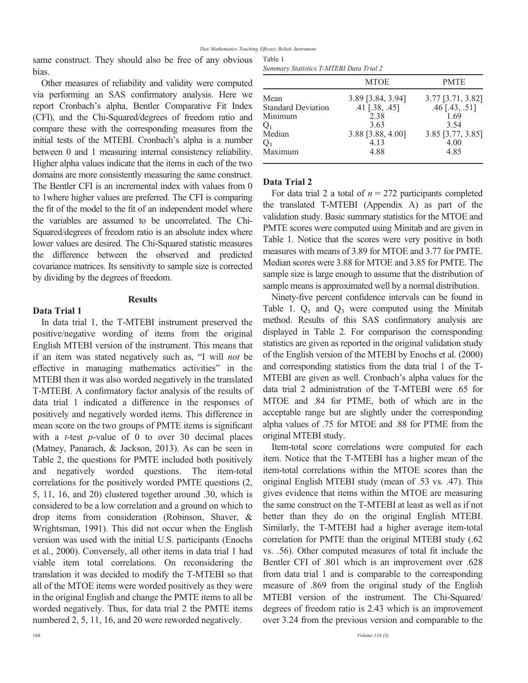same construct. They should also be free of any obvious bias.

Other measures of reliability and validity were computed via performing an SAS confirmatory analysis. Here we report Cronbach's alpha, Bentler Comparative Fit Index (CFI), and the Chi-Squared/degrees of freedom ratio and compare these with the corresponding measures from the initial tests of the MTEBI. Cronbach's alpha is a number between 0 and 1 measuring internal consistency reliability. Higher alpha values indicate that the items in each of the two domains are more consistently measuring the same construct. The Bentler CFI is an incremental index with values from 0 to 1where higher values are preferred. The CFI is comparing the fit of the model to the fit of an independent model where the variables are assumed to be uncorrelated. The Chi-Squared/degrees of freedom ratio is an absolute index where lower values are desired. The Chi-Squared statistic measures the difference between the observed and predicted covariance matrices. Its sensitivity to sample size is corrected by dividing by the degrees of freedom.

## **Results**

### Data Trial 1

In data trial 1, the T-MTEBI instrument preserved the positive/negative wording of items from the original English MTEBI version of the instrument. This means that if an item was stated negatively such as, "I will not be effective in managing mathematics activities" in the MTEBI then it was also worded negatively in the translated T-MTEBI. A confirmatory factor analysis of the results of data trial 1 indicated a difference in the responses of positively and negatively worded items. This difference in mean score on the two groups of PMTE items is significant with a  $t$ -test  $p$ -value of 0 to over 30 decimal places (Matney, Panarach, & Jackson, 2013). As can be seen in Table 2, the questions for PMTE included both positively and negatively worded questions. The item-total correlations for the positively worded PMTE questions (2, 5, 11, 16, and 20) clustered together around .30, which is considered to be a low correlation and a ground on which to drop items from consideration (Robinson, Shaver, & Wrightsman, 1991). This did not occur when the English version was used with the initial U.S. participants (Enochs et al., 2000). Conversely, all other items in data trial 1 had viable item total correlations. On reconsidering the translation it was decided to modify the T-MTEBI so that all of the MTOE items were worded positively as they were in the original English and change the PMTE items to all be worded negatively. Thus, for data trial 2 the PMTE items numbered 2, 5, 11, 16, and 20 were reworded negatively.

|  |  | Summary Statistics T-MTEBI Data Trial 2 |  |  |  |
|--|--|-----------------------------------------|--|--|--|
|--|--|-----------------------------------------|--|--|--|

|                           | <b>MTOE</b>       | <b>PMTE</b>       |
|---------------------------|-------------------|-------------------|
| Mean                      | 3.89 [3.84, 3.94] | 3.77 [3.71, 3.82] |
| <b>Standard Deviation</b> | $.41$ [.38, .45]  | $.46$ [.43, .51]  |
| Minimum                   | 2.38              | 1.69              |
| $Q_1$                     | 3.63              | 3.54              |
| Median                    | 3.88 [3.88, 4.00] | 3.85 [3.77, 3.85] |
| $Q_3$                     | 4.13              | 4.00              |
| Maximum                   | 4.88              | 4.85              |

#### Data Trial 2

For data trial 2 a total of  $n = 272$  participants completed the translated T-MTEBI (Appendix A) as part of the validation study. Basic summary statistics for the MTOE and PMTE scores were computed using Minitab and are given in Table 1. Notice that the scores were very positive in both measures with means of 3.89 for MTOE and 3.77 for PMTE. Median scores were 3.88 for MTOE and 3.85 for PMTE. The sample size is large enough to assume that the distribution of sample means is approximated well by a normal distribution.

Ninety-five percent confidence intervals can be found in Table 1.  $Q_1$  and  $Q_3$  were computed using the Minitab method. Results of this SAS confirmatory analysis are displayed in Table 2. For comparison the corresponding statistics are given as reported in the original validation study of the English version of the MTEBI by Enochs et al. (2000) and corresponding statistics from the data trial 1 of the T-MTEBI are given as well. Cronbach's alpha values for the data trial 2 administration of the T-MTEBI were .65 for MTOE and .84 for PTME, both of which are in the acceptable range but are slightly under the corresponding alpha values of .75 for MTOE and .88 for PTME from the original MTEBI study.

Item-total score correlations were computed for each item. Notice that the T-MTEBI has a higher mean of the item-total correlations within the MTOE scores than the original English MTEBI study (mean of .53 vs. .47). This gives evidence that items within the MTOE are measuring the same construct on the T-MTEBI at least as well as if not better than they do on the original English MTEBI. Similarly, the T-MTEBI had a higher average item-total correlation for PMTE than the original MTEBI study (.62 vs. .56). Other computed measures of total fit include the Bentler CFI of .801 which is an improvement over .628 from data trial 1 and is comparable to the corresponding measure of .869 from the original study of the English MTEBI version of the instrument. The Chi-Squared/ degrees of freedom ratio is 2.43 which is an improvement over 3.24 from the previous version and comparable to the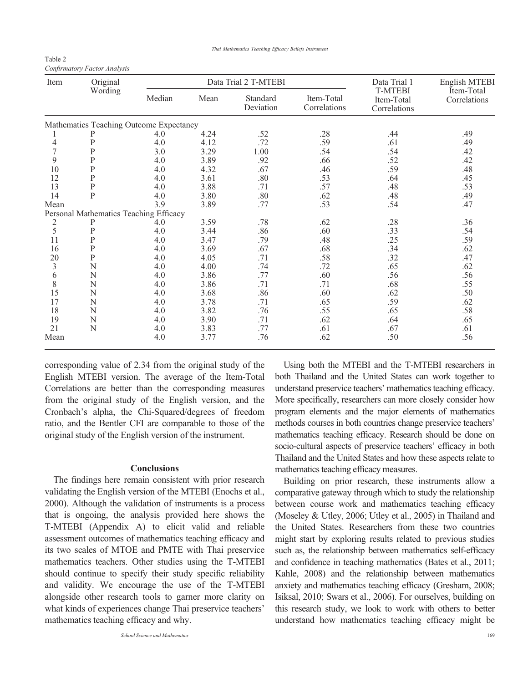Thai Mathematics Teaching Efficacy Beliefs Instrument

| Table 2                      |  |
|------------------------------|--|
| Confirmatory Factor Analysis |  |

| Item | Original                                | Data Trial 2 T-MTEBI |      |                       | Data Trial 1               | English MTEBI                                |                            |
|------|-----------------------------------------|----------------------|------|-----------------------|----------------------------|----------------------------------------------|----------------------------|
|      | Wording                                 | Median               | Mean | Standard<br>Deviation | Item-Total<br>Correlations | <b>T-MTEBI</b><br>Item-Total<br>Correlations | Item-Total<br>Correlations |
|      | Mathematics Teaching Outcome Expectancy |                      |      |                       |                            |                                              |                            |
|      |                                         | 4.0                  | 4.24 | .52                   | .28                        | .44                                          | .49                        |
| 4    | P                                       | 4.0                  | 4.12 | .72                   | .59                        | .61                                          | .49                        |
| 7    | P                                       | 3.0                  | 3.29 | 1.00                  | .54                        | .54                                          | .42                        |
| 9    | $\mathbf{P}$                            | 4.0                  | 3.89 | .92                   | .66                        | .52                                          | .42                        |
| 10   | $\overline{\mathrm{P}}$                 | 4.0                  | 4.32 | .67                   | .46                        | .59                                          | .48                        |
| 12   | $\overline{P}$                          | 4.0                  | 3.61 | .80                   | .53                        | .64                                          | .45                        |
| 13   | $\mathbf P$                             | 4.0                  | 3.88 | .71                   | .57                        | .48                                          | .53                        |
| 14   | $\mathbf{P}$                            | 4.0                  | 3.80 | .80                   | .62                        | .48                                          | .49                        |
| Mean |                                         | 3.9                  | 3.89 | .77                   | .53                        | .54                                          | .47                        |
|      | Personal Mathematics Teaching Efficacy  |                      |      |                       |                            |                                              |                            |
| 2    | P                                       | 4.0                  | 3.59 | .78                   | .62                        | .28                                          | .36                        |
| 5    | ${\bf P}$                               | 4.0                  | 3.44 | .86                   | .60                        | .33                                          | .54                        |
| 11   | P                                       | 4.0                  | 3.47 | .79                   | .48                        | .25                                          | .59                        |
| 16   | P                                       | 4.0                  | 3.69 | .67                   | .68                        | .34                                          | .62                        |
| 20   | ${\bf P}$                               | 4.0                  | 4.05 | .71                   | .58                        | .32                                          | .47                        |
| 3    | N                                       | 4.0                  | 4.00 | .74                   | .72                        | .65                                          | .62                        |
| 6    | N                                       | 4.0                  | 3.86 | .77                   | .60                        | .56                                          | .56                        |
| 8    | N                                       | 4.0                  | 3.86 | .71                   | .71                        | .68                                          | .55                        |
| 15   | N                                       | 4.0                  | 3.68 | .86                   | .60                        | .62                                          | .50                        |
| 17   | N                                       | 4.0                  | 3.78 | .71                   | .65                        | .59                                          | .62                        |
| 18   | N                                       | 4.0                  | 3.82 | .76                   | .55                        | .65                                          | .58                        |
| 19   | N                                       | 4.0                  | 3.90 | .71                   | .62                        | .64                                          | .65                        |
| 21   | N                                       | 4.0                  | 3.83 | .77                   | .61                        | .67                                          | .61                        |
| Mean |                                         | 4.0                  | 3.77 | .76                   | .62                        | .50                                          | .56                        |

corresponding value of 2.34 from the original study of the English MTEBI version. The average of the Item-Total Correlations are better than the corresponding measures from the original study of the English version, and the Cronbach's alpha, the Chi-Squared/degrees of freedom ratio, and the Bentler CFI are comparable to those of the original study of the English version of the instrument.

#### **Conclusions**

The findings here remain consistent with prior research validating the English version of the MTEBI (Enochs et al., 2000). Although the validation of instruments is a process that is ongoing, the analysis provided here shows the T-MTEBI (Appendix A) to elicit valid and reliable assessment outcomes of mathematics teaching efficacy and its two scales of MTOE and PMTE with Thai preservice mathematics teachers. Other studies using the T-MTEBI should continue to specify their study specific reliability and validity. We encourage the use of the T-MTEBI alongside other research tools to garner more clarity on what kinds of experiences change Thai preservice teachers' mathematics teaching efficacy and why.

Using both the MTEBI and the T-MTEBI researchers in both Thailand and the United States can work together to understand preservice teachers' mathematics teaching efficacy. More specifically, researchers can more closely consider how program elements and the major elements of mathematics methods courses in both countries change preservice teachers' mathematics teaching efficacy. Research should be done on socio-cultural aspects of preservice teachers' efficacy in both Thailand and the United States and how these aspects relate to mathematics teaching efficacy measures.

Building on prior research, these instruments allow a comparative gateway through which to study the relationship between course work and mathematics teaching efficacy (Moseley & Utley, 2006; Utley et al., 2005) in Thailand and the United States. Researchers from these two countries might start by exploring results related to previous studies such as, the relationship between mathematics self-efficacy and confidence in teaching mathematics (Bates et al., 2011; Kahle, 2008) and the relationship between mathematics anxiety and mathematics teaching efficacy (Gresham, 2008; Isiksal, 2010; Swars et al., 2006). For ourselves, building on this research study, we look to work with others to better understand how mathematics teaching efficacy might be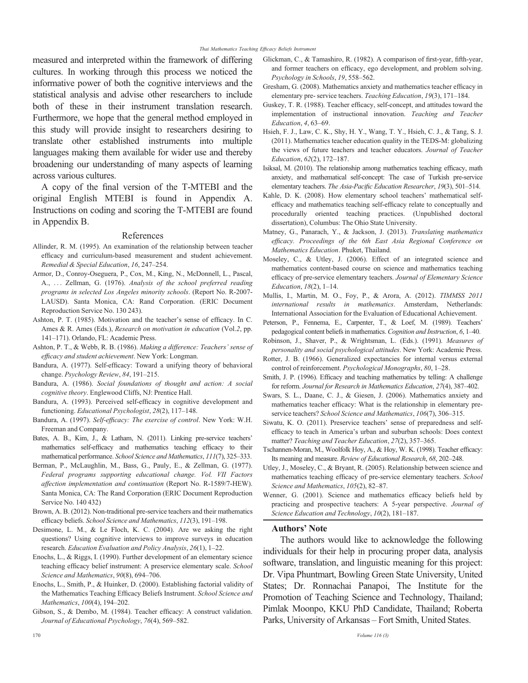measured and interpreted within the framework of differing cultures. In working through this process we noticed the informative power of both the cognitive interviews and the statistical analysis and advise other researchers to include both of these in their instrument translation research. Furthermore, we hope that the general method employed in this study will provide insight to researchers desiring to translate other established instruments into multiple languages making them available for wider use and thereby broadening our understanding of many aspects of learning across various cultures.

A copy of the final version of the T-MTEBI and the original English MTEBI is found in Appendix A. Instructions on coding and scoring the T-MTEBI are found in Appendix B.

#### References

- Allinder, R. M. (1995). An examination of the relationship between teacher efficacy and curriculum-based measurement and student achievement. Remedial & Special Education, 16, 247–254.
- Armor, D., Conroy-Oseguera, P., Cox, M., King, N., McDonnell, L., Pascal, A., ... Zellman, G. (1976). Analysis of the school preferred reading programs in selected Los Angeles minority schools. (Report No. R-2007- LAUSD). Santa Monica, CA: Rand Corporation. (ERIC Document Reproduction Service No. 130 243).
- Ashton, P. T. (1985). Motivation and the teacher's sense of efficacy. In C. Ames & R. Ames (Eds.), *Research on motivation in education* (Vol.2, pp. 141–171). Orlando, FL: Academic Press.
- Ashton, P. T., & Webb, R. B. (1986). Making a difference: Teachers' sense of efficacy and student achievement. New York: Longman.
- Bandura, A. (1977). Self-efficacy: Toward a unifying theory of behavioral change. Psychology Review, 84, 191–215.
- Bandura, A. (1986). Social foundations of thought and action: A social cognitive theory. Englewood Cliffs, NJ: Prentice Hall.
- Bandura, A. (1993). Perceived self-efficacy in cognitive development and functioning. Educational Psychologist, 28(2), 117–148.
- Bandura, A. (1997). Self-efficacy: The exercise of control. New York: W.H. Freeman and Company.
- Bates, A. B., Kim, J., & Latham, N. (2011). Linking pre-service teachers' mathematics self-efficacy and mathematics teaching efficacy to their mathematical performance. School Science and Mathematics, 111(7), 325–333.
- Berman, P., McLaughlin, M., Bass, G., Pauly, E., & Zellman, G. (1977). Federal programs supporting educational change. Vol. VII Factors affection implementation and continuation (Report No. R-1589/7-HEW). Santa Monica, CA: The Rand Corporation (ERIC Document Reproduction Service No. 140 432)
- Brown, A. B. (2012). Non-traditional pre-service teachers and their mathematics efficacy beliefs. School Science and Mathematics, 112(3), 191–198.
- Desimone, L. M., & Le Floch, K. C. (2004). Are we asking the right questions? Using cognitive interviews to improve surveys in education research. Education Evaluation and Policy Analysis, 26(1), 1–22.
- Enochs, L., & Riggs, I. (1990). Further development of an elementary science teaching efficacy belief instrument: A preservice elementary scale. School Science and Mathematics, 90(8), 694–706.
- Enochs, L., Smith, P., & Huinker, D. (2000). Establishing factorial validity of the Mathematics Teaching Efficacy Beliefs Instrument. School Science and Mathematics, 100(4), 194–202.
- Gibson, S., & Dembo, M. (1984). Teacher efficacy: A construct validation. Journal of Educational Psychology, 76(4), 569–582.
- Glickman, C., & Tamashiro, R. (1982). A comparison of first-year, fifth-year, and former teachers on efficacy, ego development, and problem solving. Psychology in Schools, 19, 558–562.
- Gresham, G. (2008). Mathematics anxiety and mathematics teacher efficacy in elementary pre- service teachers. Teaching Education, 19(3), 171–184.
- Guskey, T. R. (1988). Teacher efficacy, self-concept, and attitudes toward the implementation of instructional innovation. Teaching and Teacher Education, 4, 63–69.
- Hsieh, F. J., Law, C. K., Shy, H. Y., Wang, T. Y., Hsieh, C. J., & Tang, S. J. (2011). Mathematics teacher education quality in the TEDS-M: globalizing the views of future teachers and teacher educators. Journal of Teacher Education, 62(2), 172–187.
- Isiksal, M. (2010). The relationship among mathematics teaching efficacy, math anxiety, and mathematical self-concept: The case of Turkish pre-service elementary teachers. The Asia-Pacific Education Researcher, 19(3), 501–514.
- Kahle, D. K. (2008). How elementary school teachers' mathematical selfefficacy and mathematics teaching self-efficacy relate to conceptually and procedurally oriented teaching practices. (Unpublished doctoral dissertation), Columbus: The Ohio State University.
- Matney, G., Panarach, Y., & Jackson, J. (2013). Translating mathematics efficacy. Proceedings of the 6th East Asia Regional Conference on Mathematics Education. Phuket, Thailand.
- Moseley, C., & Utley, J. (2006). Effect of an integrated science and mathematics content-based course on science and mathematics teaching efficacy of pre-service elementary teachers. Journal of Elementary Science Education, 18(2), 1–14.
- Mullis, I., Martin, M. O., Foy, P., & Arora, A. (2012). TIMMSS 2011 international results in mathematics. Amsterdam, Netherlands: International Association for the Evaluation of Educational Achievement.
- Peterson, P., Fennema, E., Carpenter, T., & Loef, M. (1989). Teachers' pedagogical content beliefs in mathematics. Cognition and Instruction, 6, 1–40.
- Robinson, J., Shaver, P., & Wrightsman, L. (Eds.). (1991). Measures of personality and social psychological attitudes. New York: Academic Press.
- Rotter, J. B. (1966). Generalized expectancies for internal versus external control of reinforcement. Psychological Monographs, 80, 1–28.
- Smith, J. P. (1996). Efficacy and teaching mathematics by telling: A challenge for reform. Journal for Research in Mathematics Education, 27(4), 387–402.
- Swars, S. L., Daane, C. J., & Giesen, J. (2006). Mathematics anxiety and mathematics teacher efficacy: What is the relationship in elementary preservice teachers? School Science and Mathematics, 106(7), 306-315.
- Siwatu, K. O. (2011). Preservice teachers' sense of preparedness and selfefficacy to teach in America's urban and suburban schools: Does context matter? Teaching and Teacher Education, 27(2), 357–365.
- Tschannen-Moran, M., Woolfolk Hoy, A., & Hoy, W. K. (1998). Teacher efficacy: Its meaning and measure. Review of Educational Research, 68, 202–248.
- Utley, J., Moseley, C., & Bryant, R. (2005). Relationship between science and mathematics teaching efficacy of pre-service elementary teachers. School Science and Mathematics, 105(2), 82–87.

#### Authors' Note

The authors would like to acknowledge the following individuals for their help in procuring proper data, analysis software, translation, and linguistic meaning for this project: Dr. Vipa Phuntmart, Bowling Green State University, United States; Dr. Ronnachai Panapoi, The Institute for the Promotion of Teaching Science and Technology, Thailand; Pimlak Moonpo, KKU PhD Candidate, Thailand; Roberta Parks, University of Arkansas – Fort Smith, United States.

Wenner, G. (2001). Science and mathematics efficacy beliefs held by practicing and prospective teachers: A 5-year perspective. Journal of Science Education and Technology, 10(2), 181–187.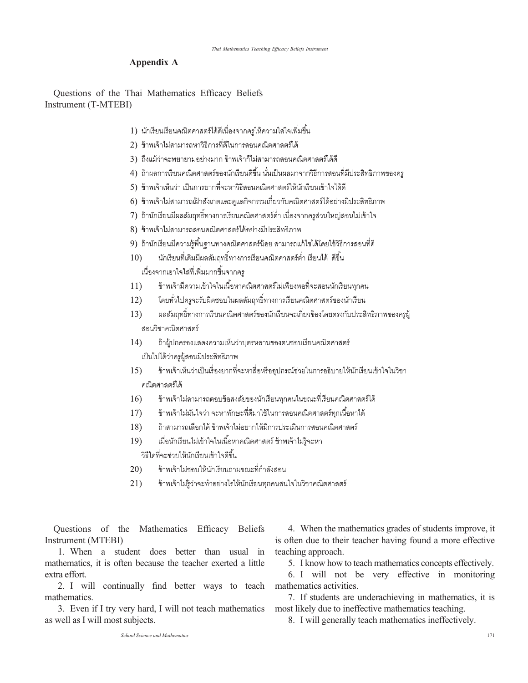## Appendix A

Questions of the Thai Mathematics Efficacy Beliefs Instrument (T-MTEBI)

- 1) นักเรียนเรียนคณิตศาสตร์ได้ดีเนื่องจากครูให้ความใส่ใจเพิ่มขึ้น
- 2) ข้าพเจ้าไม่สามารถหาวิธีการที่ดีในการสอนคณิตศาสตร์ได้
- 3) ถึงแม้ว่าจะพยายามอย่างมาก ข้าพเจ้าก็ไม่สามารถสอนคณิตศาสตร์ได้ดี
- 4) ถ้าผลการเรียนคณิตศาสตร์ของนักเรียนดีขึ้น นั่นเป็นผลมาจากวิธีการสอนที่มีประสิทธิภาพของคร
- 5) ข้าพเจ้าเห็นว่า เป็นการยากที่จะหาวิธีสอนคณิตศาสตร์ให้นักเรียนเข้าใจได้ดี
- 6) ข้าพเจ้าไม่สามารถเฝ้าสังเกตและดูแลกิจกรรมเกี่ยวกับคณิตศาสตร์ได้อย่างมีประสิทธิภาพ
- 7) ถ้านักเรียนมีผลสัมฤทธิ์ทางการเรียนคณิตศาสตร์ต่ำ เนื่องจากครูส่วนใหญ่สอนไม่เข้าใจ
- 8) ข้าพเจ้าไม่สามารถสอนคณิตศาสตร์ได้อย่างมีประสิทธิภาพ
- 9) ถ้านักเรียนมีความรู้พื้นฐานทางคณิตศาสตร์น้อย สามารถแก้ไขได้โดยใช้วิธีการสอนที่ดี
- นักเรียนที่เดิมมีผลสัมฤทธิ์ทางการเรียนคณิตศาสตร์ต่ำ เรียนได้ ดีขึ้น  $10)$ เนื่องจากเอาใจใส่ที่เพิ่มมากขึ้นจากคร
- ข้าพเจ้ามีความเข้าใจในเนื้อหาคณิตศาสตร์ไม่เพียงพอที่จะสอนนักเรียนทุกคน  $11)$
- โดยทั่วไปครูจะรับผิดชอบในผลสัมฤทธิ์ทางการเรียนคณิตศาสตร์ของนักเรียน  $12)$
- ผลส้มฤทธิ์ทางการเรียนคณิตศาสตร์ของนักเรียนจะเกี่ยวข้องโดยตรงกับประสิทธิภาพของครูผู้  $13)$ สอนวิชาคณิตศาสตร์
- ถ้าผู้ปกครองแสดงความเห็นว่าบุตรหลานของตนชอบเรียนคณิตศาสตร์  $14)$ เป็นไปได้ว่าครูผู้สอนมีประสิทธิภาพ
- ข้าพเจ้าเห็นว่าเป็นเรื่องยากที่จะหาสื่อหรืออุปกรณ์ช่วยในการอธิบายให้นักเรียนเข้าใจในวิชา 15) คณิตศาสตร์ได้
- ข้าพเจ้าไม่สามารถตอบข้อสงสัยของนักเรียนทุกคนในขณะที่เรียนคณิตศาสตร์ได้  $16)$
- ข้าพเจ้าไม่มั่นใจว่า จะหาทักษะที่ดีมาใช้ในการสอนคณิตศาสตร์ทุกเนื้อหาได้  $17)$
- ถ้าสามารถเลือกได้ ข้าพเจ้าไม่อยากให้มีการประเมินการสอนคณิตศาสตร์ 18)
- $19)$ เมื่อนักเรียนไม่เข้าใจในเนื้อหาคณิตศาสตร์ ข้าพเจ้าไม่รู้จะหา

วิธีใดที่จะช่วยให้นักเรียนเข้าใจดีขึ้น

- ข้าพเจ้าไม่ชอบให้นักเรียนถามขณะที่กำลังสอน  $20)$
- ข้าพเจ้าไม่รู้ว่าจะทำอย่างไรให้นักเรียนทุกคนสนใจในวิชาคณิตศาสตร์  $21)$

Questions of the Mathematics Efficacy Beliefs Instrument (MTEBI)

1. When a student does better than usual in mathematics, it is often because the teacher exerted a little extra effort.

2. I will continually find better ways to teach mathematics.

3. Even if I try very hard, I will not teach mathematics as well as I will most subjects.

4. When the mathematics grades of students improve, it is often due to their teacher having found a more effective teaching approach.

5. I know how to teach mathematics concepts effectively.

6. I will not be very effective in monitoring mathematics activities.

7. If students are underachieving in mathematics, it is most likely due to ineffective mathematics teaching.

8. I will generally teach mathematics ineffectively.